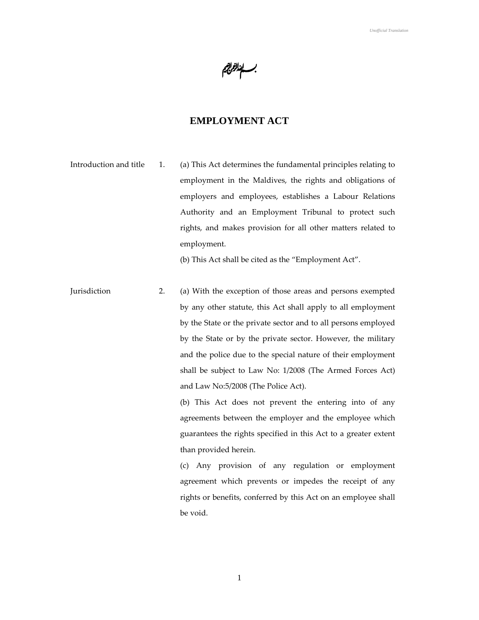بــــاندانزانير<br>.

# **EMPLOYMENT ACT**

Introduction and title 1. (a) This Act determines the fundamental principles relating to employment in the Maldives, the rights and obligations of employers and employees, establishes a Labour Relations Authority and an Employment Tribunal to protect such rights, and makes provision for all other matters related to employment.

(b) This Act shall be cited as the "Employment Act".

Jurisdiction 2. (a) With the exception of those areas and persons exempted by any other statute, this Act shall apply to all employment by the State or the private sector and to all persons employed by the State or by the private sector. However, the military and the police due to the special nature of their employment shall be subject to Law No: 1/2008 (The Armed Forces Act) and Law No:5/2008 (The Police Act).

> (b) This Act does not prevent the entering into of any agreements between the employer and the employee which guarantees the rights specified in this Act to a greater extent than provided herein.

> (c) Any provision of any regulation or employment agreement which prevents or impedes the receipt of any rights or benefits, conferred by this Act on an employee shall be void.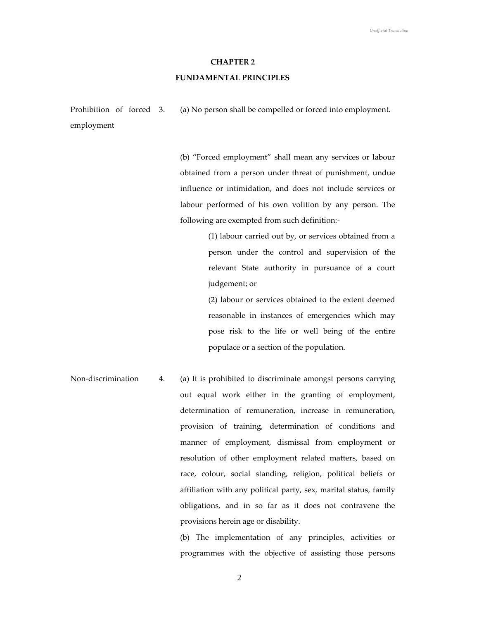### **CHAPTER 2**

## **FUNDAMENTAL PRINCIPLES**

Prohibition of forced 3. employment (a) No person shall be compelled or forced into employment.

> (b) "Forced employment" shall mean any services or labour obtained from a person under threat of punishment, undue influence or intimidation, and does not include services or labour performed of his own volition by any person. The following are exempted from such definition:-

> > (1) labour carried out by, or services obtained from a person under the control and supervision of the relevant State authority in pursuance of a court judgement; or

> > (2) labour or services obtained to the extent deemed reasonable in instances of emergencies which may pose risk to the life or well being of the entire populace or a section of the population.

Non-discrimination 4. (a) It is prohibited to discriminate amongst persons carrying out equal work either in the granting of employment, determination of remuneration, increase in remuneration, provision of training, determination of conditions and manner of employment, dismissal from employment or resolution of other employment related matters, based on race, colour, social standing, religion, political beliefs or affiliation with any political party, sex, marital status, family obligations, and in so far as it does not contravene the provisions herein age or disability.

> (b) The implementation of any principles, activities or programmes with the objective of assisting those persons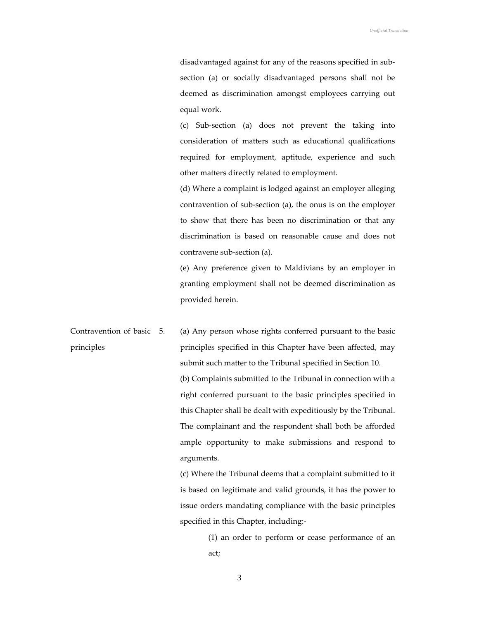disadvantaged against for any of the reasons specified in subsection (a) or socially disadvantaged persons shall not be deemed as discrimination amongst employees carrying out equal work.

(c) Sub-section (a) does not prevent the taking into consideration of matters such as educational qualifications required for employment, aptitude, experience and such other matters directly related to employment.

(d) Where a complaint is lodged against an employer alleging contravention of sub-section (a), the onus is on the employer to show that there has been no discrimination or that any discrimination is based on reasonable cause and does not contravene sub-section (a).

(e) Any preference given to Maldivians by an employer in granting employment shall not be deemed discrimination as provided herein.

Contravention of basic 5. principles (a) Any person whose rights conferred pursuant to the basic principles specified in this Chapter have been affected, may submit such matter to the Tribunal specified in Section 10. (b) Complaints submitted to the Tribunal in connection with a right conferred pursuant to the basic principles specified in this Chapter shall be dealt with expeditiously by the Tribunal. The complainant and the respondent shall both be afforded ample opportunity to make submissions and respond to arguments.

> (c) Where the Tribunal deems that a complaint submitted to it is based on legitimate and valid grounds, it has the power to issue orders mandating compliance with the basic principles specified in this Chapter, including:-

(1) an order to perform or cease performance of an act;